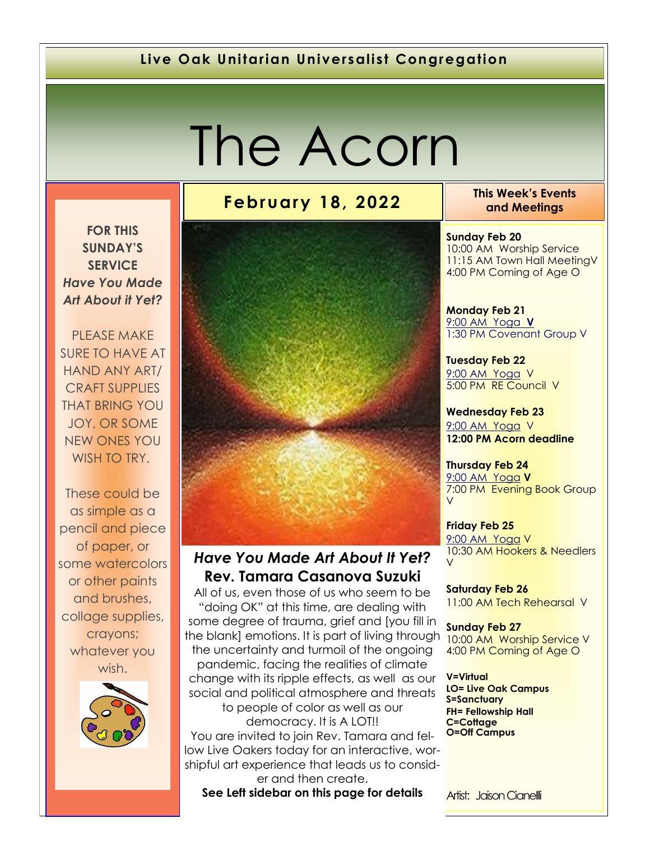#### **Live Oak Unitarian Universalist Congregation**

# The Acorn

**FOR THIS SUNDAY'S SERVICE**

*Have You Made Art About it Yet?*

PLEASE MAKE SURE TO HAVE AT HAND ANY ART/ CRAFT SUPPLIES THAT BRING YOU JOY, OR SOME NEW ONES YOU WISH TO TRY.

These could be as simple as a pencil and piece of paper, or some watercolors or other paints and brushes, collage supplies, crayons; whatever you wish.



#### *Have You Made Art About It Yet?* **Rev. Tamara Casanova Suzuki**

All of us, even those of us who seem to be "doing OK" at this time, are dealing with some degree of trauma, grief and [you fill in the blank] emotions. It is part of living through the uncertainty and turmoil of the ongoing pandemic, facing the realities of climate change with its ripple effects, as well as our social and political atmosphere and threats to people of color as well as our democracy. It is A LOT!! You are invited to join Rev. Tamara and fellow Live Oakers today for an interactive, worshipful art experience that leads us to consider and then create.

**See Left sidebar on this page for details**

**February 18, 2022 This Week's Events and Meetings** 

> **Sunday Feb 20** 10:00 AM Worship Service 11:15 AM Town Hall MeetingV 4:00 PM Coming of Age O

**Monday Feb 21** 9[:00 AM Yoga](https://us02web.zoom.us/j/86278199291?pwd=WUh1MFJyVXNVOTIyQ1NmanJoSmNXQT09) **V** 1:30 PM Covenant Group V

**Tuesday Feb 22** [9:](https://us02web.zoom.us/meeting/register/tZ0pc-6qrTwqH9WUfmrB_nZu0MWqJ8CyS3Uw)[00 AM Yoga](https://us02web.zoom.us/j/86278199291?pwd=WUh1MFJyVXNVOTIyQ1NmanJoSmNXQT09) V 5:00 PM RE Council V

**Wednesday Feb 23** [9:](https://us02web.zoom.us/meeting/register/tZ0pc-6qrTwqH9WUfmrB_nZu0MWqJ8CyS3Uw)[00 AM Yoga](https://us02web.zoom.us/j/86278199291?pwd=WUh1MFJyVXNVOTIyQ1NmanJoSmNXQT09) V **12:00 PM Acorn deadline** 

**Thursday Feb 24** [9:](https://us02web.zoom.us/meeting/register/tZ0pc-6qrTwqH9WUfmrB_nZu0MWqJ8CyS3Uw)[00 AM Yoga](https://us02web.zoom.us/j/86278199291?pwd=WUh1MFJyVXNVOTIyQ1NmanJoSmNXQT09) **V** 7:00 PM Evening Book Group V

**Friday Feb 25** [9:](https://us02web.zoom.us/meeting/register/tZ0pc-6qrTwqH9WUfmrB_nZu0MWqJ8CyS3Uw)[00 AM Yoga](https://us02web.zoom.us/j/86278199291?pwd=WUh1MFJyVXNVOTIyQ1NmanJoSmNXQT09) V 10:30 AM Hookers & Needlers V

**Saturday Feb 26** 11:00 AM Tech Rehearsal V

**Sunday Feb 27** 10:00 AM Worship Service V 4:00 PM Coming of Age O

**V=Virtual LO= Live Oak Campus S=Sanctuary FH= Fellowship Hall C=Cottage O=Off Campus**

Artist: Jaison Cianelli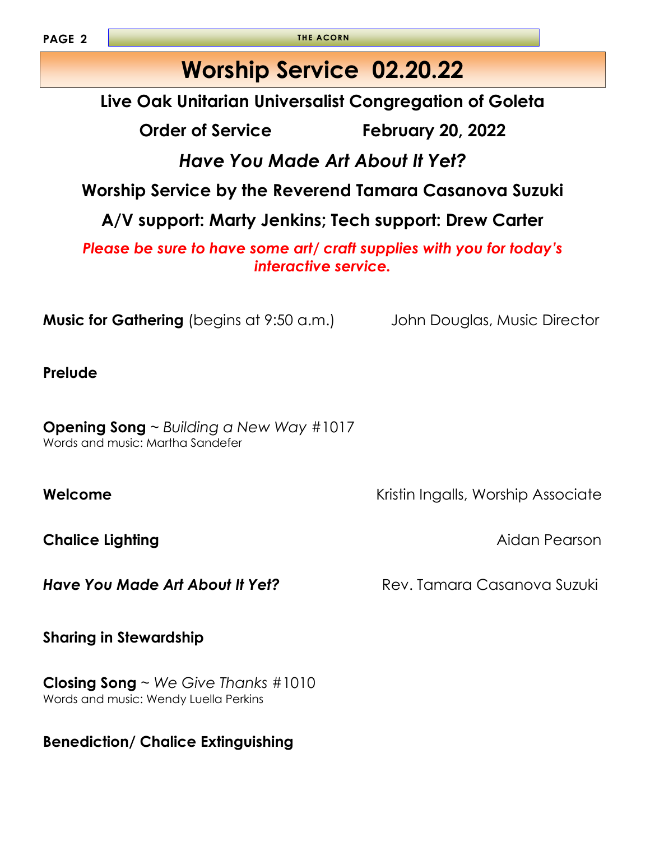**PAGE 2**

**THE ACORN**

# **Worship Service 02.20.22**

**Live Oak Unitarian Universalist Congregation of Goleta**

**Order of Service February 20, 2022**

*Have You Made Art About It Yet?*

**Worship Service by the Reverend Tamara Casanova Suzuki** 

**A/V support: Marty Jenkins; Tech support: Drew Carter**

*Please be sure to have some art/ craft supplies with you for today's interactive service.*

**Music for Gathering** (begins at 9:50 a.m.) John Douglas, Music Director

**Prelude**

**Opening Song** ~ *Building a New Way* #1017 Words and music: Martha Sandefer

**Chalice Lighting Chalice Lighting and Chalice Aidan Pearson** 

**Have You Made Art About It Yet? Rev. Tamara Casanova Suzuki** 

**Sharing in Stewardship** 

**Closing Song** ~ *We Give Thanks* #1010 Words and music: Wendy Luella Perkins

**Benediction/ Chalice Extinguishing**

**Welcome** Kristin Ingalls, Worship Associate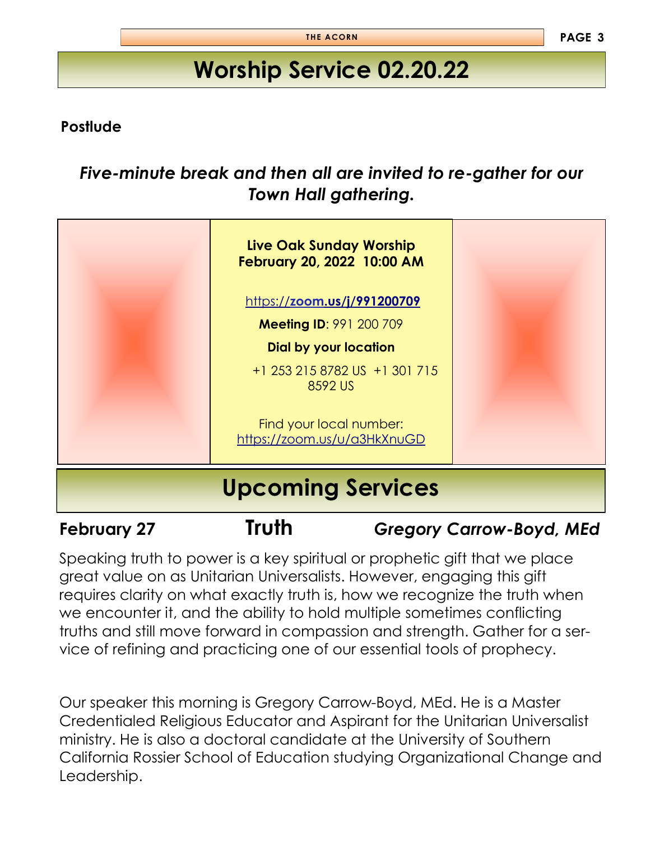# **Worship Service 02.20.22**

#### **Postlude**

### *Five-minute break and then all are invited to re-gather for our Town Hall gathering.*



**February 27 Truth** *Gregory Carrow-Boyd, MEd*

Speaking truth to power is a key spiritual or prophetic gift that we place great value on as Unitarian Universalists. However, engaging this gift requires clarity on what exactly truth is, how we recognize the truth when we encounter it, and the ability to hold multiple sometimes conflicting truths and still move forward in compassion and strength. Gather for a service of refining and practicing one of our essential tools of prophecy.

Our speaker this morning is Gregory Carrow-Boyd, MEd. He is a Master Credentialed Religious Educator and Aspirant for the Unitarian Universalist ministry. He is also a doctoral candidate at the University of Southern California Rossier School of Education studying Organizational Change and Leadership.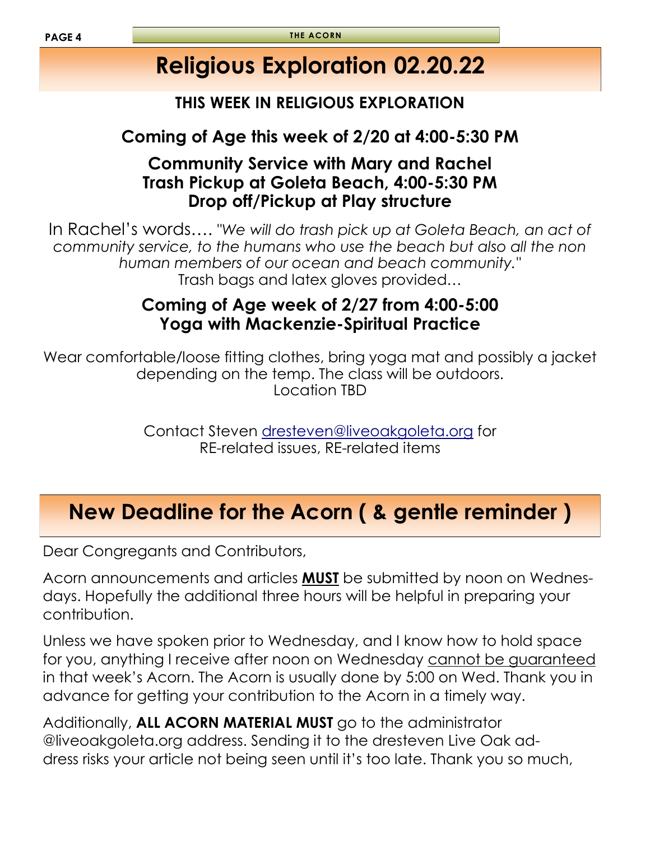# **Religious Exploration 02.20.22**

#### **THIS WEEK IN RELIGIOUS EXPLORATION**

### **Coming of Age this week of 2/20 at 4:00-5:30 PM**

#### **Community Service with Mary and Rachel Trash Pickup at Goleta Beach, 4:00-5:30 PM Drop off/Pickup at Play structure**

In Rachel's words…. "*We will do trash pick up at Goleta Beach, an act of community service, to the humans who use the beach but also all the non human members of our ocean and beach community."* Trash bags and latex gloves provided…

#### **Coming of Age week of 2/27 from 4:00-5:00 Yoga with Mackenzie-Spiritual Practice**

Wear comfortable/loose fitting clothes, bring yoga mat and possibly a jacket depending on the temp. The class will be outdoors. Location TBD

> Contact Steven [dresteven@liveoakgoleta.org](mailto:dresteven@liveoakgoleta.org) for RE-related issues, RE-related items

# **New Deadline for the Acorn ( & gentle reminder )**

Dear Congregants and Contributors,

Acorn announcements and articles **MUST** be submitted by noon on Wednesdays. Hopefully the additional three hours will be helpful in preparing your contribution.

Unless we have spoken prior to Wednesday, and I know how to hold space for you, anything I receive after noon on Wednesday cannot be guaranteed in that week's Acorn. The Acorn is usually done by 5:00 on Wed. Thank you in advance for getting your contribution to the Acorn in a timely way.

Additionally, **ALL ACORN MATERIAL MUST** go to the administrator @liveoakgoleta.org address. Sending it to the dresteven Live Oak address risks your article not being seen until it's too late. Thank you so much,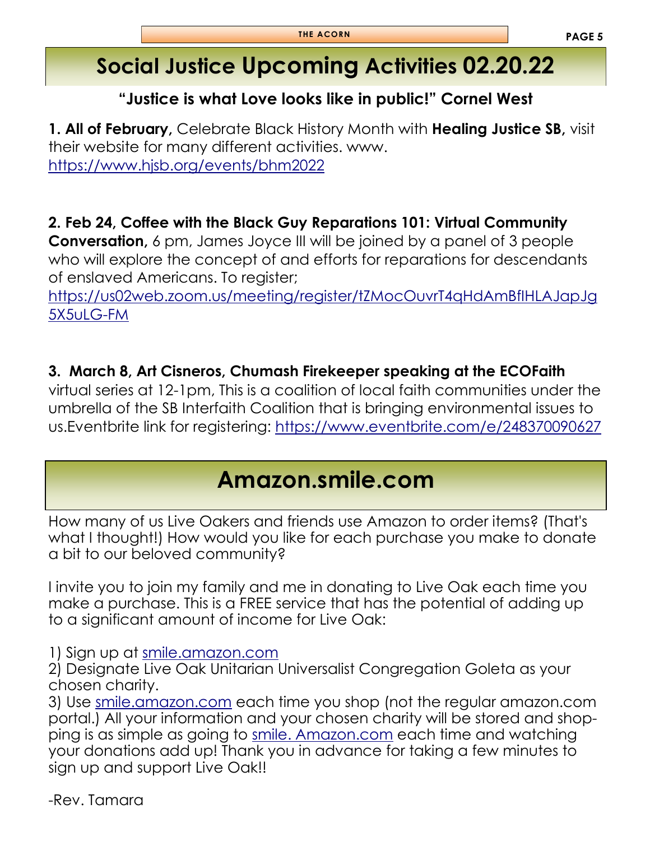# **Social Justice Upcoming Activities 02.20.22**

#### **"Justice is what Love looks like in public!" Cornel West**

**1. All of February,** Celebrate Black History Month with **Healing Justice SB,** visit their website for many different activities. www. <https://www.hjsb.org/events/bhm2022>

**2. Feb 24, Coffee with the Black Guy Reparations 101: Virtual Community** 

**Conversation,** 6 pm, James Joyce III will be joined by a panel of 3 people who will explore the concept of and efforts for reparations for descendants of enslaved Americans. To register;

[https://us02web.zoom.us/meeting/register/tZMocOuvrT4qHdAmBfIHLAJapJg](https://us02web.zoom.us/meeting/register/tZMocOuvrT4qHdAmBfIHLAJapJg5X5uLG-FM) [5X5uLG-FM](https://us02web.zoom.us/meeting/register/tZMocOuvrT4qHdAmBfIHLAJapJg5X5uLG-FM)

**3. March 8, Art Cisneros, Chumash Firekeeper speaking at the ECOFaith** 

virtual series at 12-1pm, This is a coalition of local faith communities under the umbrella of the SB Interfaith Coalition that is bringing environmental issues to us.Eventbrite link for registering:<https://www.eventbrite.com/e/248370090627>

# **Amazon.smile.com**

How many of us Live Oakers and friends use Amazon to order items? (That's what I thought!) How would you like for each purchase you make to donate a bit to our beloved community?

I invite you to join my family and me in donating to Live Oak each time you make a purchase. This is a FREE service that has the potential of adding up to a significant amount of income for Live Oak:

1) Sign up at [smile.amazon.com](http://smile.amazon.com/)

2) Designate Live Oak Unitarian Universalist Congregation Goleta as your chosen charity.

3) Use <smile.amazon.com> each time you shop (not the regular [amazon.com](http://amazon.com/)  portal.) All your information and your chosen charity will be stored and shopping is as simple as going to [smile. Amazon.com](smile.amazon.com) each time and watching your donations add up! Thank you in advance for taking a few minutes to sign up and support Live Oak!!

-Rev. Tamara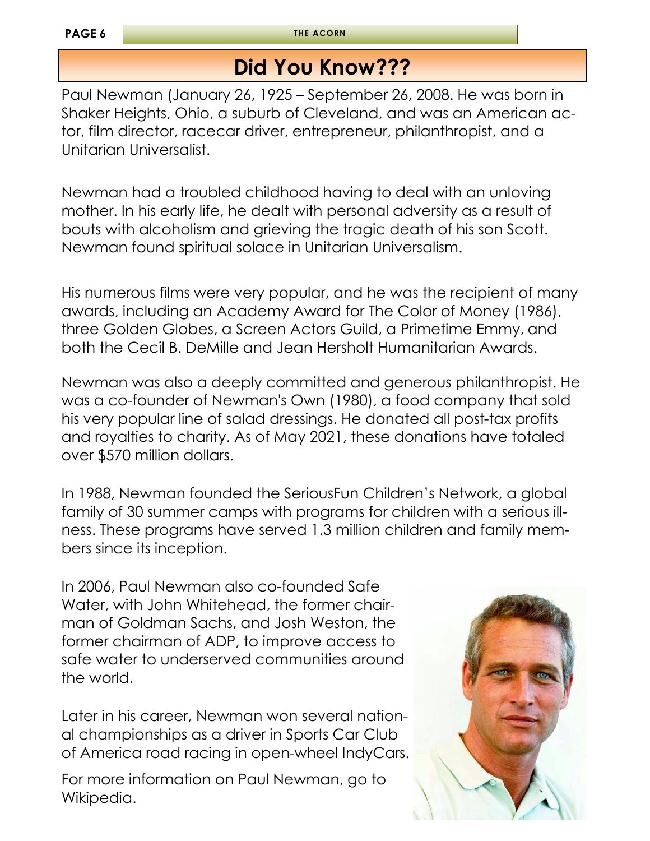**THE ACORN**

# **Did You Know???**

Paul Newman (January 26, 1925 – September 26, 2008. He was born in Shaker Heights, Ohio, a suburb of Cleveland, and was an American actor, film director, racecar driver, entrepreneur, philanthropist, and a Unitarian Universalist.

Newman had a troubled childhood having to deal with an unloving mother. In his early life, he dealt with personal adversity as a result of bouts with alcoholism and grieving the tragic death of his son Scott. Newman found spiritual solace in Unitarian Universalism.

His numerous films were very popular, and he was the recipient of many awards, including an Academy Award for The Color of Money (1986), three Golden Globes, a Screen Actors Guild, a Primetime Emmy, and both the Cecil B. DeMille and Jean Hersholt Humanitarian Awards.

Newman was also a deeply committed and generous philanthropist. He was a co-founder of Newman's Own (1980), a food company that sold his very popular line of salad dressings. He donated all post-tax profits and royalties to charity. As of May 2021, these donations have totaled over \$570 million dollars.

In 1988, Newman founded the SeriousFun Children's Network, a global family of 30 summer camps with programs for children with a serious illness. These programs have served 1.3 million children and family members since its inception.

In 2006, Paul Newman also co-founded Safe Water, with John Whitehead, the former chairman of Goldman Sachs, and Josh Weston, the former chairman of ADP, to improve access to safe water to underserved communities around the world.

Later in his career, Newman won several national championships as a driver in Sports Car Club of America road racing in open-wheel IndyCars.

For more information on Paul Newman, go to Wikipedia.

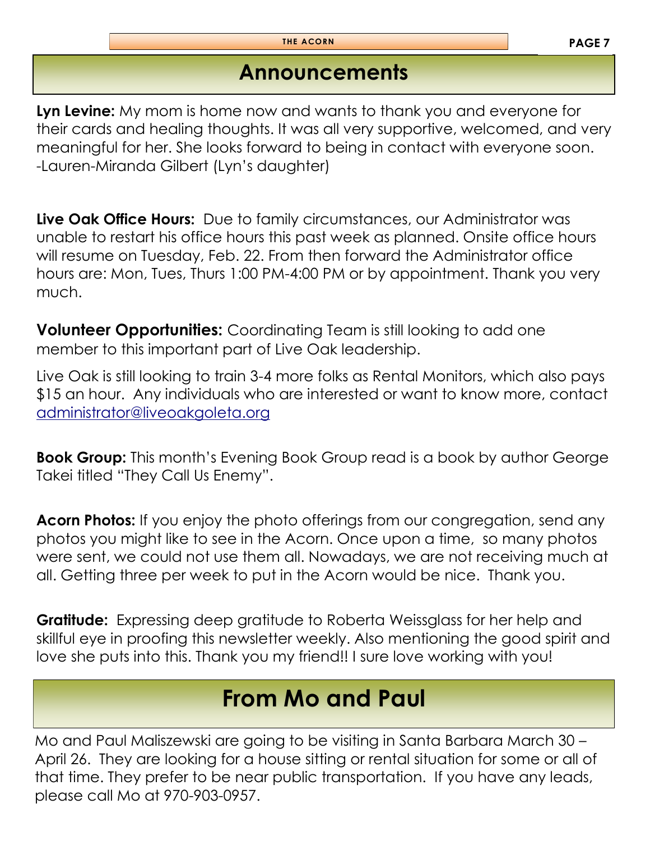# **Announcements**

**Lyn Levine:** My mom is home now and wants to thank you and everyone for their cards and healing thoughts. It was all very supportive, welcomed, and very meaningful for her. She looks forward to being in contact with everyone soon. -Lauren-Miranda Gilbert (Lyn's daughter)

**Live Oak Office Hours:** Due to family circumstances, our Administrator was unable to restart his office hours this past week as planned. Onsite office hours will resume on Tuesday, Feb. 22. From then forward the Administrator office hours are: Mon, Tues, Thurs 1:00 PM-4:00 PM or by appointment. Thank you very much.

**Volunteer Opportunities:** Coordinating Team is still looking to add one member to this important part of Live Oak leadership.

Live Oak is still looking to train 3-4 more folks as Rental Monitors, which also pays \$15 an hour. Any individuals who are interested or want to know more, contact [administrator@liveoakgoleta.org](mailto:administrator@liveoakgoleta.org)

**Book Group:** This month's Evening Book Group read is a book by author George Takei titled "They Call Us Enemy".

**Acorn Photos:** If you enjoy the photo offerings from our congregation, send any photos you might like to see in the Acorn. Once upon a time, so many photos were sent, we could not use them all. Nowadays, we are not receiving much at all. Getting three per week to put in the Acorn would be nice. Thank you.

**Gratitude:** Expressing deep gratitude to Roberta Weissglass for her help and skillful eye in proofing this newsletter weekly. Also mentioning the good spirit and love she puts into this. Thank you my friend!! I sure love working with you!

# **From Mo and Paul**

Mo and Paul Maliszewski are going to be visiting in Santa Barbara March 30 – April 26. They are looking for a house sitting or rental situation for some or all of that time. They prefer to be near public transportation. If you have any leads, please call Mo at 970-903-0957.